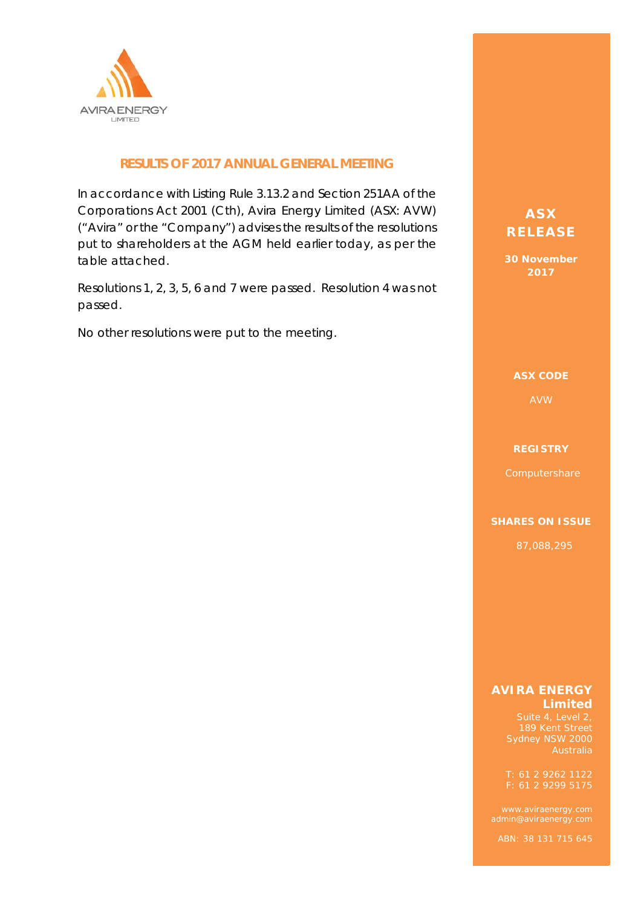

### **RESULTS OF 2017 ANNUAL GENERAL MEETING**

In accordance with Listing Rule 3.13.2 and Section 251AA of the Corporations Act 2001 (Cth), Avira Energy Limited (ASX: AVW) ("Avira" or the "Company") advises the results of the resolutions put to shareholders at the AGM held earlier today, as per the table attached.

Resolutions 1, 2, 3, 5, 6 and 7 were passed. Resolution 4 was not passed.

No other resolutions were put to the meeting.

## **ASX ASX RELEASE RELEASE**

**30 November 30 November 2017 2017** 

#### **ASX CODE ASX CODE**

#### **REGISTRY REGISTRY**

#### **SHARES ON ISSUE SHARES ON ISSUE**

87,088,295 87,088,295

#### **AVIRA ENERGY AVIRA ENERGY Limited Limited**

Sydney NSW 2000

 $T: 61 2 9262 1122$